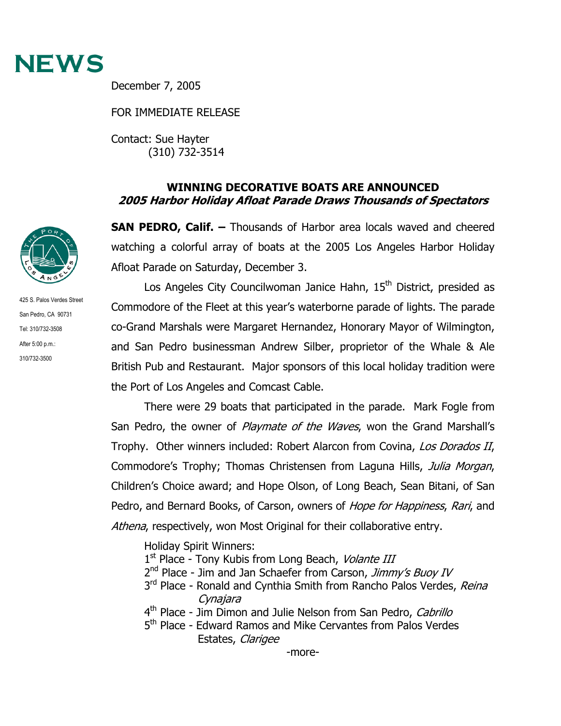

December 7, 2005

## FOR IMMEDIATE RELEASE

Contact: Sue Hayter (310) 732-3514

## **WINNING DECORATIVE BOATS ARE ANNOUNCED 2005 Harbor Holiday Afloat Parade Draws Thousands of Spectators**

**SAN PEDRO, Calif. –** Thousands of Harbor area locals waved and cheered watching a colorful array of boats at the 2005 Los Angeles Harbor Holiday Afloat Parade on Saturday, December 3.

Los Angeles City Councilwoman Janice Hahn, 15<sup>th</sup> District, presided as Commodore of the Fleet at this year's waterborne parade of lights. The parade co-Grand Marshals were Margaret Hernandez, Honorary Mayor of Wilmington, and San Pedro businessman Andrew Silber, proprietor of the Whale & Ale British Pub and Restaurant. Major sponsors of this local holiday tradition were the Port of Los Angeles and Comcast Cable.

There were 29 boats that participated in the parade. Mark Fogle from San Pedro, the owner of *Playmate of the Waves*, won the Grand Marshall's Trophy. Other winners included: Robert Alarcon from Covina, Los Dorados II, Commodore's Trophy; Thomas Christensen from Laguna Hills, Julia Morgan, Children's Choice award; and Hope Olson, of Long Beach, Sean Bitani, of San Pedro, and Bernard Books, of Carson, owners of *Hope for Happiness, Rari*, and Athena, respectively, won Most Original for their collaborative entry.

Holiday Spirit Winners:

- 1<sup>st</sup> Place Tony Kubis from Long Beach, Volante III
- 2<sup>nd</sup> Place Jim and Jan Schaefer from Carson, Jimmy's Buoy IV
- 3<sup>rd</sup> Place Ronald and Cynthia Smith from Rancho Palos Verdes, Reina Cynajara
- 4<sup>th</sup> Place Jim Dimon and Julie Nelson from San Pedro, *Cabrillo*
- 5<sup>th</sup> Place Edward Ramos and Mike Cervantes from Palos Verdes Estates, Clarigee



425 S. Palos Verdes Street San Pedro, CA 90731 Tel: 310/732-3508 After 5:00 p.m.: 310/732-3500